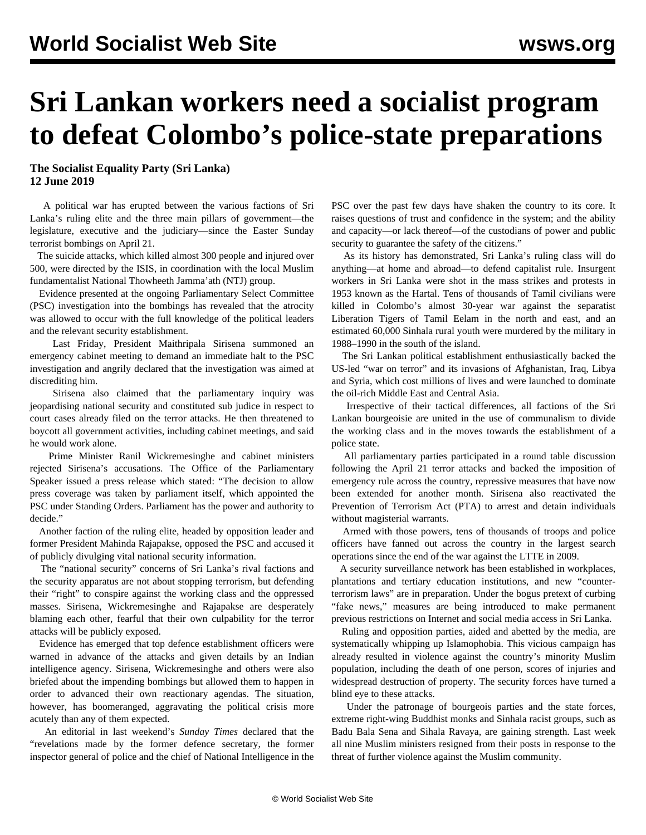## **Sri Lankan workers need a socialist program to defeat Colombo's police-state preparations**

**The Socialist Equality Party (Sri Lanka) 12 June 2019**

 A political war has erupted between the various factions of Sri Lanka's ruling elite and the three main pillars of government—the legislature, executive and the judiciary—since the Easter Sunday terrorist bombings on April 21.

 The suicide attacks, which killed almost 300 people and injured over 500, were directed by the ISIS, in coordination with the local Muslim fundamentalist National Thowheeth Jamma'ath (NTJ) group.

 Evidence presented at the ongoing Parliamentary Select Committee (PSC) investigation into the bombings has revealed that the atrocity was allowed to occur with the full knowledge of the political leaders and the relevant security establishment.

 Last Friday, President Maithripala Sirisena summoned an emergency cabinet meeting to demand an immediate halt to the PSC investigation and angrily declared that the investigation was aimed at discrediting him.

 Sirisena also claimed that the parliamentary inquiry was jeopardising national security and constituted sub judice in respect to court cases already filed on the terror attacks. He then threatened to boycott all government activities, including cabinet meetings, and said he would work alone.

 Prime Minister Ranil Wickremesinghe and cabinet ministers rejected Sirisena's accusations. The Office of the Parliamentary Speaker issued a press release which stated: "The decision to allow press coverage was taken by parliament itself, which appointed the PSC under Standing Orders. Parliament has the power and authority to decide."

 Another faction of the ruling elite, headed by opposition leader and former President Mahinda Rajapakse, opposed the PSC and accused it of publicly divulging vital national security information.

 The "national security" concerns of Sri Lanka's rival factions and the security apparatus are not about stopping terrorism, but defending their "right" to conspire against the working class and the oppressed masses. Sirisena, Wickremesinghe and Rajapakse are desperately blaming each other, fearful that their own culpability for the terror attacks will be publicly exposed.

 Evidence has emerged that top defence establishment officers were warned in advance of the attacks and given details by an Indian intelligence agency. Sirisena, Wickremesinghe and others were also briefed about the impending bombings but allowed them to happen in order to advanced their own reactionary agendas. The situation, however, has boomeranged, aggravating the political crisis more acutely than any of them expected.

 An editorial in last weekend's *Sunday Times* declared that the "revelations made by the former defence secretary, the former inspector general of police and the chief of National Intelligence in the PSC over the past few days have shaken the country to its core. It raises questions of trust and confidence in the system; and the ability and capacity—or lack thereof—of the custodians of power and public security to guarantee the safety of the citizens."

 As its history has demonstrated, Sri Lanka's ruling class will do anything—at home and abroad—to defend capitalist rule. Insurgent workers in Sri Lanka were shot in the mass strikes and protests in 1953 known as the Hartal. Tens of thousands of Tamil civilians were killed in Colombo's almost 30-year war against the separatist Liberation Tigers of Tamil Eelam in the north and east, and an estimated 60,000 Sinhala rural youth were murdered by the military in 1988–1990 in the south of the island.

 The Sri Lankan political establishment enthusiastically backed the US-led "war on terror" and its invasions of Afghanistan, Iraq, Libya and Syria, which cost millions of lives and were launched to dominate the oil-rich Middle East and Central Asia.

 Irrespective of their tactical differences, all factions of the Sri Lankan bourgeoisie are united in the use of communalism to divide the working class and in the moves towards the establishment of a police state.

 All parliamentary parties participated in a round table discussion following the April 21 terror attacks and backed the imposition of emergency rule across the country, repressive measures that have now been extended for another month. Sirisena also reactivated the Prevention of Terrorism Act (PTA) to arrest and detain individuals without magisterial warrants.

 Armed with those powers, tens of thousands of troops and police officers have fanned out across the country in the largest search operations since the end of the war against the LTTE in 2009.

 A security surveillance network has been established in workplaces, plantations and tertiary education institutions, and new "counterterrorism laws" are in preparation. Under the bogus pretext of curbing "fake news," measures are being introduced to make permanent previous restrictions on Internet and social media access in Sri Lanka.

 Ruling and opposition parties, aided and abetted by the media, are systematically whipping up Islamophobia. This vicious campaign has already resulted in violence against the country's minority Muslim population, including the death of one person, scores of injuries and widespread destruction of property. The security forces have turned a blind eye to these attacks.

 Under the patronage of bourgeois parties and the state forces, extreme right-wing Buddhist monks and Sinhala racist groups, such as Badu Bala Sena and Sihala Ravaya, are gaining strength. Last week all nine Muslim ministers resigned from their posts in response to the threat of further violence against the Muslim community.